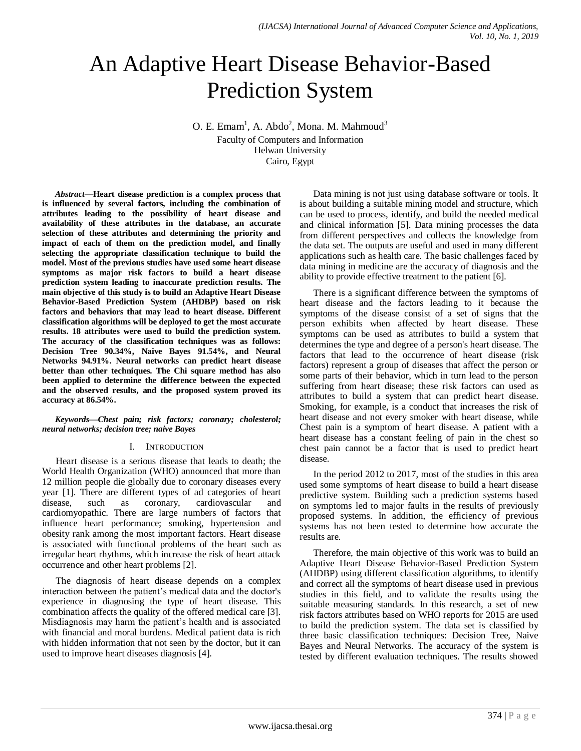# An Adaptive Heart Disease Behavior-Based Prediction System

O. E. Emam<sup>1</sup>, A. Abdo<sup>2</sup>, Mona. M. Mahmoud<sup>3</sup> Faculty of Computers and Information Helwan University Cairo, Egypt

*Abstract***—Heart disease prediction is a complex process that is influenced by several factors, including the combination of attributes leading to the possibility of heart disease and availability of these attributes in the database, an accurate selection of these attributes and determining the priority and impact of each of them on the prediction model, and finally selecting the appropriate classification technique to build the model. Most of the previous studies have used some heart disease symptoms as major risk factors to build a heart disease prediction system leading to inaccurate prediction results. The main objective of this study is to build an Adaptive Heart Disease Behavior-Based Prediction System (AHDBP) based on risk factors and behaviors that may lead to heart disease. Different classification algorithms will be deployed to get the most accurate results. 18 attributes were used to build the prediction system. The accuracy of the classification techniques was as follows: Decision Tree 90.34%, Naive Bayes 91.54%, and Neural Networks 94.91%. Neural networks can predict heart disease better than other techniques. The Chi square method has also been applied to determine the difference between the expected and the observed results, and the proposed system proved its accuracy at 86.54%.**

#### *Keywords—Chest pain; risk factors; coronary; cholesterol; neural networks; decision tree; naive Bayes*

## I. INTRODUCTION

Heart disease is a serious disease that leads to death; the World Health Organization (WHO) announced that more than 12 million people die globally due to coronary diseases every year [1]. There are different types of ad categories of heart disease, such as coronary, cardiovascular and cardiomyopathic. There are large numbers of factors that influence heart performance; smoking, hypertension and obesity rank among the most important factors. Heart disease is associated with functional problems of the heart such as irregular heart rhythms, which increase the risk of heart attack occurrence and other heart problems [2].

The diagnosis of heart disease depends on a complex interaction between the patient"s medical data and the doctor's experience in diagnosing the type of heart disease. This combination affects the quality of the offered medical care [3]. Misdiagnosis may harm the patient"s health and is associated with financial and moral burdens. Medical patient data is rich with hidden information that not seen by the doctor, but it can used to improve heart diseases diagnosis [4].

Data mining is not just using database software or tools. It is about building a suitable mining model and structure, which can be used to process, identify, and build the needed medical and clinical information [5]. Data mining processes the data from different perspectives and collects the knowledge from the data set. The outputs are useful and used in many different applications such as health care. The basic challenges faced by data mining in medicine are the accuracy of diagnosis and the ability to provide effective treatment to the patient [6].

There is a significant difference between the symptoms of heart disease and the factors leading to it because the symptoms of the disease consist of a set of signs that the person exhibits when affected by heart disease. These symptoms can be used as attributes to build a system that determines the type and degree of a person's heart disease. The factors that lead to the occurrence of heart disease (risk factors) represent a group of diseases that affect the person or some parts of their behavior, which in turn lead to the person suffering from heart disease; these risk factors can used as attributes to build a system that can predict heart disease. Smoking, for example, is a conduct that increases the risk of heart disease and not every smoker with heart disease, while Chest pain is a symptom of heart disease. A patient with a heart disease has a constant feeling of pain in the chest so chest pain cannot be a factor that is used to predict heart disease.

In the period 2012 to 2017, most of the studies in this area used some symptoms of heart disease to build a heart disease predictive system. Building such a prediction systems based on symptoms led to major faults in the results of previously proposed systems. In addition, the efficiency of previous systems has not been tested to determine how accurate the results are.

Therefore, the main objective of this work was to build an Adaptive Heart Disease Behavior-Based Prediction System (AHDBP) using different classification algorithms, to identify and correct all the symptoms of heart disease used in previous studies in this field, and to validate the results using the suitable measuring standards. In this research, a set of new risk factors attributes based on WHO reports for 2015 are used to build the prediction system. The data set is classified by three basic classification techniques: Decision Tree, Naive Bayes and Neural Networks. The accuracy of the system is tested by different evaluation techniques. The results showed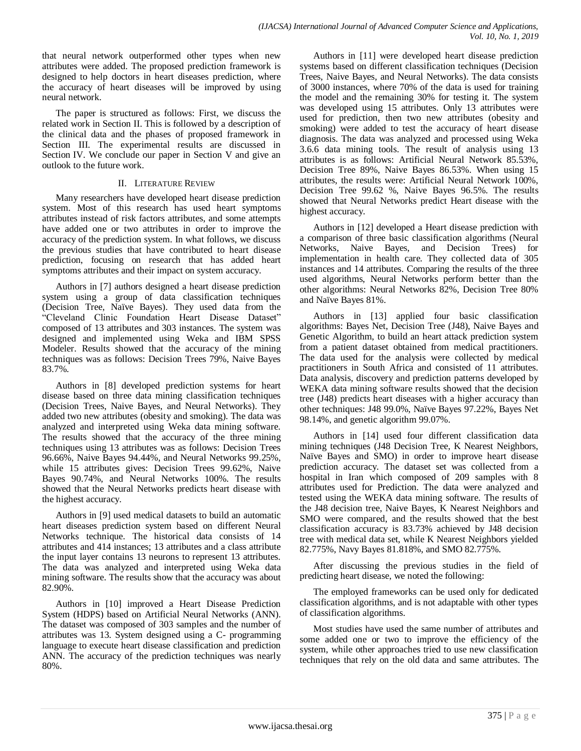that neural network outperformed other types when new attributes were added. The proposed prediction framework is designed to help doctors in heart diseases prediction, where the accuracy of heart diseases will be improved by using neural network.

The paper is structured as follows: First, we discuss the related work in Section II. This is followed by a description of the clinical data and the phases of proposed framework in Section III. The experimental results are discussed in Section IV. We conclude our paper in Section V and give an outlook to the future work.

## II. LITERATURE REVIEW

Many researchers have developed heart disease prediction system. Most of this research has used heart symptoms attributes instead of risk factors attributes, and some attempts have added one or two attributes in order to improve the accuracy of the prediction system. In what follows, we discuss the previous studies that have contributed to heart disease prediction, focusing on research that has added heart symptoms attributes and their impact on system accuracy.

Authors in [7] authors designed a heart disease prediction system using a group of data classification techniques (Decision Tree, Naïve Bayes). They used data from the "Cleveland Clinic Foundation Heart Disease Dataset" composed of 13 attributes and 303 instances. The system was designed and implemented using Weka and IBM SPSS Modeler. Results showed that the accuracy of the mining techniques was as follows: Decision Trees 79%, Naive Bayes 83.7%.

Authors in [8] developed prediction systems for heart disease based on three data mining classification techniques (Decision Trees, Naive Bayes, and Neural Networks). They added two new attributes (obesity and smoking). The data was analyzed and interpreted using Weka data mining software. The results showed that the accuracy of the three mining techniques using 13 attributes was as follows: Decision Trees 96.66%, Naive Bayes 94.44%, and Neural Networks 99.25%, while 15 attributes gives: Decision Trees 99.62%, Naive Bayes 90.74%, and Neural Networks 100%. The results showed that the Neural Networks predicts heart disease with the highest accuracy.

Authors in [9] used medical datasets to build an automatic heart diseases prediction system based on different Neural Networks technique. The historical data consists of 14 attributes and 414 instances; 13 attributes and a class attribute the input layer contains 13 neurons to represent 13 attributes. The data was analyzed and interpreted using Weka data mining software. The results show that the accuracy was about 82.90%.

Authors in [10] improved a Heart Disease Prediction System (HDPS) based on Artificial Neural Networks (ANN). The dataset was composed of 303 samples and the number of attributes was 13. System designed using a C- programming language to execute heart disease classification and prediction ANN. The accuracy of the prediction techniques was nearly 80%.

Authors in [11] were developed heart disease prediction systems based on different classification techniques (Decision Trees, Naive Bayes, and Neural Networks). The data consists of 3000 instances, where 70% of the data is used for training the model and the remaining 30% for testing it. The system was developed using 15 attributes. Only 13 attributes were used for prediction, then two new attributes (obesity and smoking) were added to test the accuracy of heart disease diagnosis. The data was analyzed and processed using Weka 3.6.6 data mining tools. The result of analysis using 13 attributes is as follows: Artificial Neural Network 85.53%, Decision Tree 89%, Naive Bayes 86.53%. When using 15 attributes, the results were: Artificial Neural Network 100%, Decision Tree 99.62 %, Naive Bayes 96.5%. The results showed that Neural Networks predict Heart disease with the highest accuracy.

Authors in [12] developed a Heart disease prediction with a comparison of three basic classification algorithms (Neural Networks, Naive Bayes, and Decision Trees) for implementation in health care. They collected data of 305 instances and 14 attributes. Comparing the results of the three used algorithms, Neural Networks perform better than the other algorithms: Neural Networks 82%, Decision Tree 80% and Naïve Bayes 81%.

Authors in [13] applied four basic classification algorithms: Bayes Net, Decision Tree (J48), Naive Bayes and Genetic Algorithm, to build an heart attack prediction system from a patient dataset obtained from medical practitioners. The data used for the analysis were collected by medical practitioners in South Africa and consisted of 11 attributes. Data analysis, discovery and prediction patterns developed by WEKA data mining software results showed that the decision tree (J48) predicts heart diseases with a higher accuracy than other techniques: J48 99.0%, Naïve Bayes 97.22%, Bayes Net 98.14%, and genetic algorithm 99.07%.

Authors in [14] used four different classification data mining techniques (J48 Decision Tree, K Nearest Neighbors, Naïve Bayes and SMO) in order to improve heart disease prediction accuracy. The dataset set was collected from a hospital in Iran which composed of 209 samples with 8 attributes used for Prediction. The data were analyzed and tested using the WEKA data mining software. The results of the J48 decision tree, Naive Bayes, K Nearest Neighbors and SMO were compared, and the results showed that the best classification accuracy is 83.73% achieved by J48 decision tree with medical data set, while K Nearest Neighbors yielded 82.775%, Navy Bayes 81.818%, and SMO 82.775%.

After discussing the previous studies in the field of predicting heart disease, we noted the following:

The employed frameworks can be used only for dedicated classification algorithms, and is not adaptable with other types of classification algorithms.

Most studies have used the same number of attributes and some added one or two to improve the efficiency of the system, while other approaches tried to use new classification techniques that rely on the old data and same attributes. The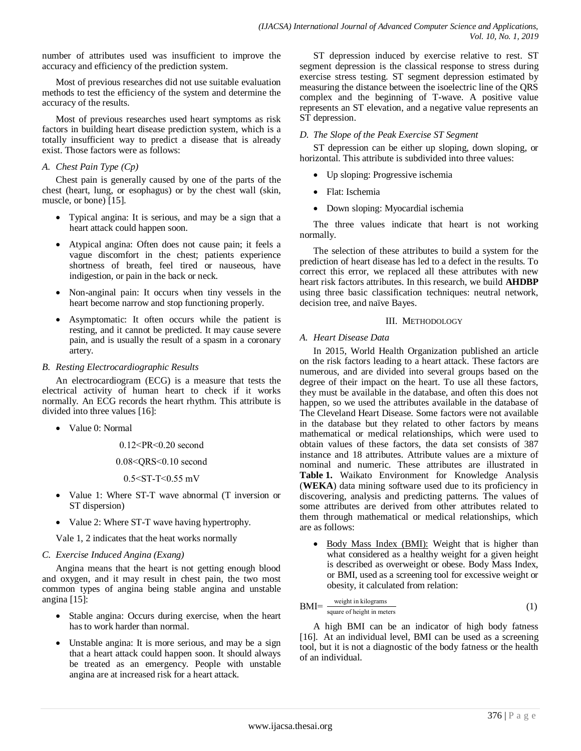number of attributes used was insufficient to improve the accuracy and efficiency of the prediction system.

Most of previous researches did not use suitable evaluation methods to test the efficiency of the system and determine the accuracy of the results.

Most of previous researches used heart symptoms as risk factors in building heart disease prediction system, which is a totally insufficient way to predict a disease that is already exist. Those factors were as follows:

## *A. Chest Pain Type (Cp)*

Chest pain is generally caused by one of the parts of the chest (heart, lung, or esophagus) or by the chest wall (skin, muscle, or bone) [15].

- Typical angina: It is serious, and may be a sign that a heart attack could happen soon.
- Atypical angina: Often does not cause pain; it feels a vague discomfort in the chest; patients experience shortness of breath, feel tired or nauseous, have indigestion, or pain in the back or neck.
- Non-anginal pain: It occurs when tiny vessels in the heart become narrow and stop functioning properly.
- Asymptomatic: It often occurs while the patient is resting, and it cannot be predicted. It may cause severe pain, and is usually the result of a spasm in a coronary artery.

## *B. Resting Electrocardiographic Results*

An electrocardiogram (ECG) is a measure that tests the electrical activity of human heart to check if it works normally. An ECG records the heart rhythm. This attribute is divided into three values [16]:

Value 0: Normal

 $0.12 < PR < 0.20$  second

 $0.08 <$ QRS $< 0.10$  second

 $0.5 <$ ST-T $<$ 0.55 mV

- Value 1: Where ST-T wave abnormal (T inversion or ST dispersion)
- Value 2: Where ST-T wave having hypertrophy.

Vale 1, 2 indicates that the heat works normally

## *C. Exercise Induced Angina (Exang)*

Angina means that the heart is not getting enough blood and oxygen, and it may result in chest pain, the two most common types of angina being stable angina and unstable angina [15]:

- Stable angina: Occurs during exercise, when the heart has to work harder than normal.
- Unstable angina: It is more serious, and may be a sign that a heart attack could happen soon. It should always be treated as an emergency. People with unstable angina are at increased risk for a heart attack.

ST depression induced by exercise relative to rest. ST segment depression is the classical response to stress during exercise stress testing. ST segment depression estimated by measuring the distance between the isoelectric line of the QRS complex and the beginning of T-wave. A positive value represents an ST elevation, and a negative value represents an ST depression.

## *D. The Slope of the Peak Exercise ST Segment*

ST depression can be either up sloping, down sloping, or horizontal. This attribute is subdivided into three values:

- Up sloping: Progressive ischemia
- Flat: Ischemia
- Down sloping: Myocardial ischemia

The three values indicate that heart is not working normally.

The selection of these attributes to build a system for the prediction of heart disease has led to a defect in the results. To correct this error, we replaced all these attributes with new heart risk factors attributes. In this research, we build **AHDBP** using three basic classification techniques: neutral network, decision tree, and naïve Bayes.

## III. METHODOLOGY

## *A. Heart Disease Data*

In 2015, World Health Organization published an article on the risk factors leading to a heart attack. These factors are numerous, and are divided into several groups based on the degree of their impact on the heart. To use all these factors, they must be available in the database, and often this does not happen, so we used the attributes available in the database of The Cleveland Heart Disease. Some factors were not available in the database but they related to other factors by means mathematical or medical relationships, which were used to obtain values of these factors, the data set consists of 387 instance and 18 attributes. Attribute values are a mixture of nominal and numeric. These attributes are illustrated in **Table 1.** Waikato Environment for Knowledge Analysis (**WEKA**) data mining software used due to its proficiency in discovering, analysis and predicting patterns. The values of some attributes are derived from other attributes related to them through mathematical or medical relationships, which are as follows:

• Body Mass Index (BMI): Weight that is higher than what considered as a healthy weight for a given height is described as overweight or obese. Body Mass Index, or BMI, used as a screening tool for excessive weight or obesity, it calculated from relation:

$$
BMI = \frac{\text{weight in kilograms}}{\text{square of height in meters}} \tag{1}
$$

A high BMI can be an indicator of high body fatness [16]. At an individual level, BMI can be used as a screening tool, but it is not a diagnostic of the body fatness or the health of an individual.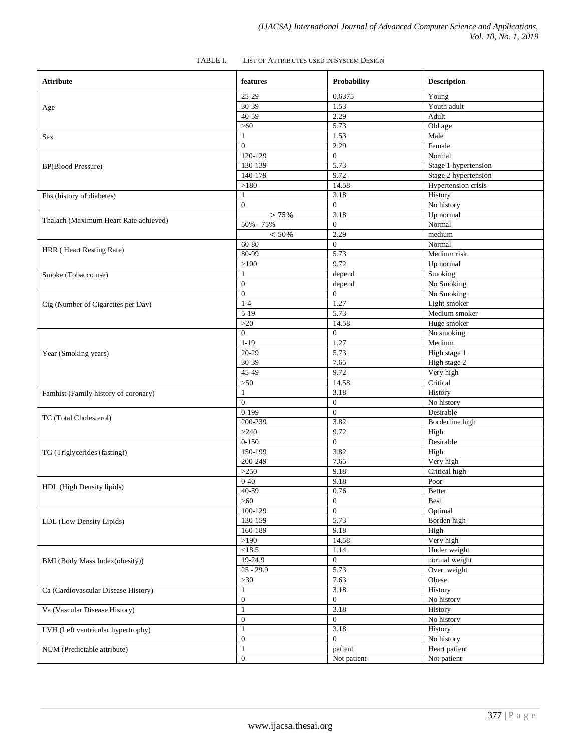| <b>Attribute</b>                      | features         | Probability      | <b>Description</b>        |
|---------------------------------------|------------------|------------------|---------------------------|
|                                       | 25-29            | 0.6375           | Young                     |
| Age                                   | 30-39            | 1.53             | Youth adult               |
|                                       | 40-59            | 2.29             | Adult                     |
|                                       | $>60$            | 5.73             | Old age                   |
| Sex                                   | $\mathbf{1}$     | 1.53             | Male                      |
|                                       | $\overline{0}$   | 2.29             | Female                    |
|                                       | 120-129          | $\overline{0}$   | Normal                    |
| <b>BP(Blood Pressure)</b>             | 130-139          | 5.73             | Stage 1 hypertension      |
|                                       | 140-179          | 9.72             | Stage 2 hypertension      |
|                                       | >180             | 14.58            | Hypertension crisis       |
| Fbs (history of diabetes)             | $\mathbf{1}$     | 3.18             | History                   |
|                                       | $\mathbf{0}$     | $\overline{0}$   | No history                |
|                                       | > 75%            | 3.18             | Up normal                 |
| Thalach (Maximum Heart Rate achieved) | 50% - 75%        | $\overline{0}$   | Normal                    |
|                                       | < 50%            | 2.29             | medium                    |
|                                       | 60-80            | $\overline{0}$   | Normal                    |
| HRR (Heart Resting Rate)              | 80-99            | 5.73             | Medium risk               |
|                                       | >100             | 9.72             | Up normal                 |
| Smoke (Tobacco use)                   | 1                | depend           | Smoking                   |
|                                       | $\boldsymbol{0}$ | depend           | No Smoking                |
|                                       | $\mathbf{0}$     | $\overline{0}$   | No Smoking                |
| Cig (Number of Cigarettes per Day)    | $1-4$            | 1.27             | Light smoker              |
|                                       | $5-19$           | 5.73             | Medium smoker             |
|                                       | $>20$            | 14.58            | Huge smoker               |
|                                       | $\mathbf{0}$     | $\overline{0}$   | No smoking                |
|                                       | $1 - 19$         | 1.27             | Medium                    |
| Year (Smoking years)                  | $20-29$          | 5.73             | $\overline{High}$ stage 1 |
|                                       | 30-39            | 7.65             | High stage 2              |
|                                       | 45-49            | 9.72             | Very high                 |
|                                       | $>50$            | 14.58            | Critical                  |
| Famhist (Family history of coronary)  | $\mathbf{1}$     | 3.18             | History                   |
|                                       | $\mathbf{0}$     | $\mathbf{0}$     | No history                |
|                                       | $0-199$          | $\overline{0}$   | Desirable                 |
| TC (Total Cholesterol)                | 200-239          | 3.82             | Borderline high           |
|                                       | >240             | 9.72             | High                      |
|                                       | $0 - 150$        | $\overline{0}$   | Desirable                 |
| TG (Triglycerides (fasting))          | 150-199          | 3.82             | High                      |
|                                       | 200-249          | 7.65             | Very high                 |
|                                       | >250             | 9.18             | Critical high             |
|                                       | $0 - 40$         | 9.18             | Poor                      |
| HDL (High Density lipids)             | 40-59            | 0.76             | <b>Better</b>             |
|                                       | $>60$            | $\boldsymbol{0}$ | <b>Best</b>               |
|                                       | 100-129          | $\overline{0}$   | Optimal                   |
| LDL (Low Density Lipids)              | 130-159          | 5.73             | Borden high               |
|                                       | 160-189          | 9.18             | High                      |
|                                       | >190             | 14.58            | Very high                 |
|                                       | < 18.5           | 1.14             | Under weight              |
| BMI (Body Mass Index(obesity))        | 19-24.9          | $\overline{0}$   | normal weight             |
|                                       | $25 - 29.9$      | 5.73             | Over weight               |
|                                       | $>30$            | 7.63             | Obese                     |
| Ca (Cardiovascular Disease History)   | 1                | 3.18             | History                   |
|                                       | $\mathbf{0}$     | $\overline{0}$   | No history                |
| Va (Vascular Disease History)         | $\mathbf{1}$     | 3.18             | History                   |
|                                       | $\boldsymbol{0}$ | $\mathbf{0}$     | No history                |
| LVH (Left ventricular hypertrophy)    | $\mathbf{1}$     | 3.18             | History                   |
|                                       | $\mathbf{0}$     | $\Omega$         | No history                |
| NUM (Predictable attribute)           | $\mathbf{1}$     | patient          | Heart patient             |
|                                       | $\boldsymbol{0}$ | Not patient      | Not patient               |
|                                       |                  |                  |                           |

#### TABLE I. LIST OF ATTRIBUTES USED IN SYSTEM DESIGN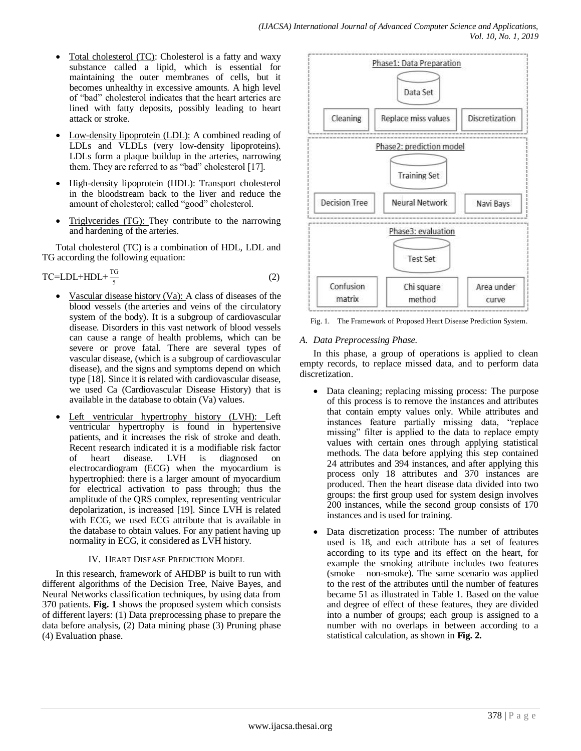- Total cholesterol (TC): Cholesterol is a fatty and waxy substance called a lipid, which is essential for maintaining the outer membranes of cells, but it becomes unhealthy in excessive amounts. A high level of "bad" cholesterol indicates that the heart arteries are lined with fatty deposits, possibly leading to heart attack or stroke.
- Low-density lipoprotein (LDL): A combined reading of LDLs and VLDLs (very low-density lipoproteins). LDLs form a plaque buildup in the arteries, narrowing them. They are referred to as "bad" cholesterol [17].
- High-density lipoprotein (HDL): Transport cholesterol in the bloodstream back to the liver and reduce the amount of cholesterol; called "good" cholesterol.
- Triglycerides (TG): They contribute to the narrowing and hardening of the arteries.

Total cholesterol (TC) is a combination of HDL, LDL and TG according the following equation:

$$
TC = LDL + HDL + \frac{TG}{5}
$$
 (2)

- Vascular disease history (Va): A class of diseases of the [blood vessels](https://en.wikipedia.org/wiki/Blood_vessel) (the [arteries](https://en.wikipedia.org/wiki/Arteries) and [veins](https://en.wikipedia.org/wiki/Veins) of the [circulatory](https://en.wikipedia.org/wiki/Circulatory_system)  [system](https://en.wikipedia.org/wiki/Circulatory_system) of the [body\)](https://en.wikipedia.org/wiki/Human_body). It is a subgroup of [cardiovascular](https://en.wikipedia.org/wiki/Cardiovascular_disease)  [disease.](https://en.wikipedia.org/wiki/Cardiovascular_disease) Disorders in this vast network of blood vessels can cause a range of health problems, which can be severe or prove fatal. There are several types of vascular disease, (which is a subgroup of cardiovascular disease), and the signs and symptoms depend on which type [18]. Since it is related with cardiovascular disease, we used Ca (Cardiovascular Disease History) that is available in the database to obtain (Va) values.
- Left ventricular hypertrophy history (LVH): Left ventricular hypertrophy is found in hypertensive patients, and it increases the risk of stroke and death. Recent research indicated it is a modifiable risk factor of heart disease. LVH is diagnosed on electrocardiogram (ECG) when the myocardium is hypertrophied: there is a larger amount of myocardium for electrical activation to pass through; thus the amplitude of the QRS complex, representing ventricular depolarization, is increased [19]. Since LVH is related with ECG, we used ECG attribute that is available in the database to obtain values. For any patient having up normality in ECG, it considered as LVH history.

## IV. HEART DISEASE PREDICTION MODEL

In this research, framework of AHDBP is built to run with different algorithms of the Decision Tree, Naive Bayes, and Neural Networks classification techniques, by using data from 370 patients. **Fig. 1** shows the proposed system which consists of different layers: (1) Data preprocessing phase to prepare the data before analysis, (2) Data mining phase (3) Pruning phase (4) Evaluation phase.



Fig. 1. The Framework of Proposed Heart Disease Prediction System.

## *A. Data Preprocessing Phase.*

In this phase, a group of operations is applied to clean empty records, to replace missed data, and to perform data discretization.

- Data cleaning; replacing missing process: The purpose of this process is to remove the instances and attributes that contain empty values only. While attributes and instances feature partially missing data, "replace missing" filter is applied to the data to replace empty values with certain ones through applying statistical methods. The data before applying this step contained 24 attributes and 394 instances, and after applying this process only 18 attributes and 370 instances are produced. Then the heart disease data divided into two groups: the first group used for system design involves 200 instances, while the second group consists of 170 instances and is used for training.
- Data discretization process: The number of attributes used is 18, and each attribute has a set of features according to its type and its effect on the heart, for example the smoking attribute includes two features (smoke – non-smoke). The same scenario was applied to the rest of the attributes until the number of features became 51 as illustrated in Table 1. Based on the value and degree of effect of these features, they are divided into a number of groups; each group is assigned to a number with no overlaps in between according to a statistical calculation, as shown in **Fig. 2.**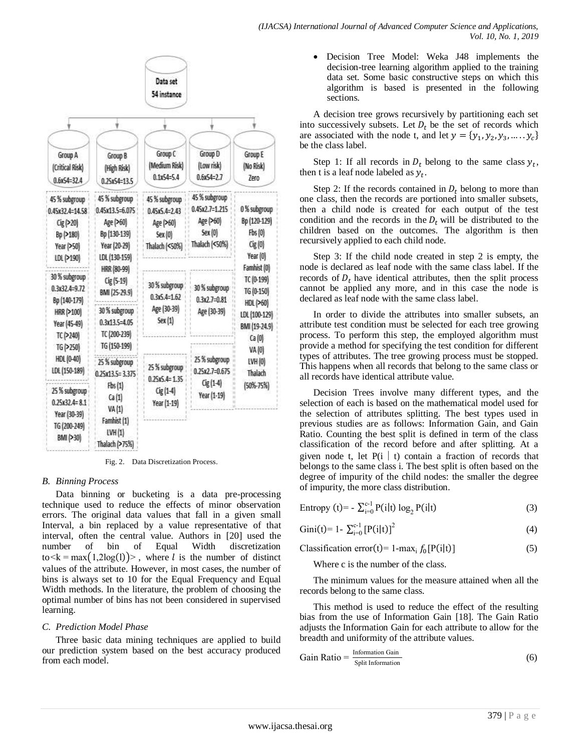

Fig. 2. Data Discretization Process.

## *B. Binning Process*

Data binning or bucketing is a data pre-processing technique used to reduce the effects of minor observation errors. The original data values that fall in a given small Interval, a bin replaced by a value representative of that interval, often the central value. Authors in [20] used the number of bin of Equal Width discretization  $\text{to} \le k = \max(1, 2\log(1))$ , where l is the number of distinct values of the attribute. However, in most cases, the number of bins is always set to 10 for the Equal Frequency and Equal Width methods. In the literature, the problem of choosing the optimal number of bins has not been considered in supervised learning.

## *C. Prediction Model Phase*

Three basic data mining techniques are applied to build our prediction system based on the best accuracy produced from each model.

 Decision Tree Model: Weka J48 implements the decision-tree learning algorithm applied to the training data set. Some basic constructive steps on which this algorithm is based is presented in the following sections.

A decision tree grows recursively by partitioning each set into successively subsets. Let  $D_t$  be the set of records which are associated with the node t, and let  $y = \{y_1, y_2, y_3, ..., y_c\}$ be the class label.

Step 1: If all records in  $D_t$  belong to the same class  $y_t$ , then t is a leaf node labeled as  $y_t$ .

Step 2: If the records contained in  $D_t$  belong to more than one class, then the records are portioned into smaller subsets, then a child node is created for each output of the test condition and the records in the  $D_t$  will be distributed to the children based on the outcomes. The algorithm is then recursively applied to each child node.

Step 3: If the child node created in step 2 is empty, the node is declared as leaf node with the same class label. If the records of  $D_t$  have identical attributes, then the split process cannot be applied any more, and in this case the node is declared as leaf node with the same class label.

In order to divide the attributes into smaller subsets, an attribute test condition must be selected for each tree growing process. To perform this step, the employed algorithm must provide a method for specifying the test condition for different types of attributes. The tree growing process must be stopped. This happens when all records that belong to the same class or all records have identical attribute value.

Decision Trees involve many different types, and the selection of each is based on the mathematical model used for the selection of attributes splitting. The best types used in previous studies are as follows: Information Gain, and Gain Ratio. Counting the best split is defined in term of the class classification of the record before and after splitting. At a given node t, let  $P(i \mid t)$  contain a fraction of records that belongs to the same class i. The best split is often based on the degree of impurity of the child nodes: the smaller the degree of impurity, the more class distribution.

| Entropy (t)= - $\sum_{i=0}^{c-1} P(i t) \log_2 P(i t)$ | (3) |
|--------------------------------------------------------|-----|
|--------------------------------------------------------|-----|

Gini(t)= 1- 
$$
\sum_{i=0}^{c-1} [P(i|t)]^2
$$
 (4)

Classification error(t)= 1-max<sub>i</sub>  $f_0[P(i|t)]$  (5)

Where c is the number of the class.

The minimum values for the measure attained when all the records belong to the same class.

This method is used to reduce the effect of the resulting bias from the use of Information Gain [18]. The Gain Ratio adjusts the Information Gain for each attribute to allow for the breadth and uniformity of the attribute values.

Gain Ratio = 
$$
\frac{\text{Information Gain}}{\text{Split Information}}
$$
 (6)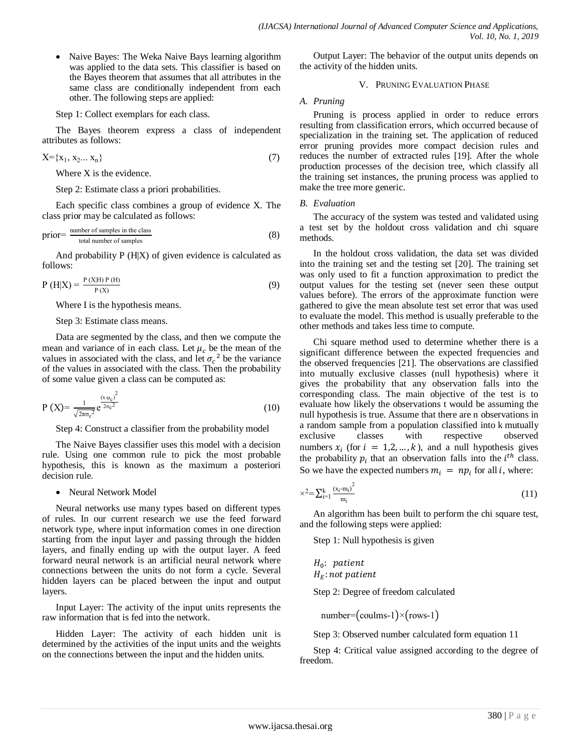• Naive Bayes: The Weka Naive Bays learning algorithm was applied to the data sets. This classifier is based on the Bayes theorem that assumes that all attributes in the same class are conditionally independent from each other. The following steps are applied:

Step 1: Collect exemplars for each class.

The Bayes theorem express a class of independent attributes as follows:

$$
X = \{x_1, x_2... x_n\}
$$
 (7)

Where X is the evidence.

Step 2: Estimate class a priori probabilities.

Each specific class combines a group of evidence X. The class prior may be calculated as follows:

$$
prior = \frac{number\ of\ samples\ in\ the\ class}{total\ number\ of\ samples}
$$
\n(8)

And probability  $P(H|X)$  of given evidence is calculated as follows:

$$
P(H|X) = \frac{P(X|H) P(H)}{P(X)}
$$
\n(9)

Where I is the hypothesis means.

#### Step 3: Estimate class means.

Data are segmented by the class, and then we compute the mean and variance of in each class. Let  $\mu_c$  be the mean of the values in associated with the class, and let  $\sigma_c^2$  be the variance of the values in associated with the class. Then the probability of some value given a class can be computed as:

$$
P(X) = \frac{1}{\sqrt{2\pi\sigma_c^2}} e^{\frac{(x-\mu_c)^2}{2\sigma_c^2}}
$$
(10)

Step 4: Construct a classifier from the probability model

The Naive Bayes classifier uses this model with a decision rule. Using one common rule to pick the most probable hypothesis, this is known as the maximum a posteriori decision rule.

## • Neural Network Model

Neural networks use many types based on different types of rules. In our current research we use the feed forward network type, where input information comes in one direction starting from the input layer and passing through the hidden layers, and finally ending up with the output layer. A feed forward neural network is an artificial neural network where connections between the units do not form a cycle. Several hidden layers can be placed between the input and output layers.

Input Layer: The activity of the input units represents the raw information that is fed into the network.

Hidden Layer: The activity of each hidden unit is determined by the activities of the input units and the weights on the connections between the input and the hidden units.

Output Layer: The behavior of the output units depends on the activity of the hidden units.

## V. PRUNING EVALUATION PHASE

*A. Pruning*

Pruning is process applied in order to reduce errors resulting from classification errors, which occurred because of specialization in the training set. The application of reduced error pruning provides more compact decision rules and reduces the number of extracted rules [19]. After the whole production processes of the decision tree, which classify all the training set instances, the pruning process was applied to make the tree more generic.

#### *B. Evaluation*

The accuracy of the system was tested and validated using a test set by the holdout cross validation and chi square methods.

In the holdout cross validation, the data set was divided into the training set and the testing set [20]. The training set was only used to fit a function approximation to predict the output values for the testing set (never seen these output values before). The errors of the approximate function were gathered to give the mean absolute test set error that was used to evaluate the model. This method is usually preferable to the other methods and takes less time to compute.

Chi square method used to determine whether there is a significant difference between the expected frequencies and the observed frequencies [21]. The observations are classified into mutually exclusive classes (null hypothesis) where it gives the probability that any observation falls into the corresponding class. The main objective of the test is to evaluate how likely the observations t would be assuming the null hypothesis is true. Assume that there are n observations in a random sample from a population classified into k mutually exclusive classes with respective observed numbers  $x_i$  (for  $i = 1, 2, ..., k$ ), and a null hypothesis gives the probability  $p_i$  that an observation falls into the  $i^{th}$  class. So we have the expected numbers  $m_i = np_i$  for all *i*, where:

$$
\times^2 = \sum_{i=1}^k \frac{(x_i - m_i)^2}{m_i} \tag{11}
$$

An algorithm has been built to perform the chi square test, and the following steps were applied:

Step 1: Null hypothesis is given

 $H_0$ : patient  $H_E$ : not patient

Step 2: Degree of freedom calculated

 $number=(\text{coulms-1})\times (rows-1)$ 

Step 3: Observed number calculated form equation 11

Step 4: Critical value assigned according to the degree of freedom.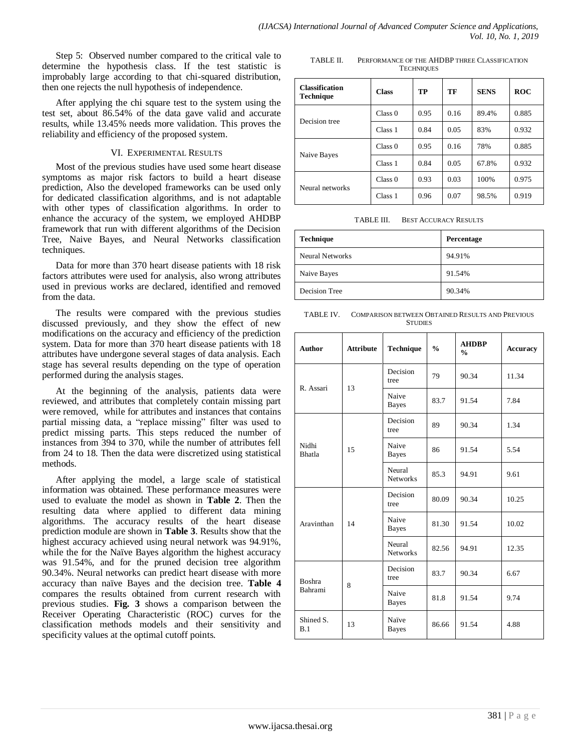Step 5: Observed number compared to the critical vale to determine the hypothesis class. If the test statistic is improbably large according to that chi-squared distribution, then one rejects the null hypothesis of independence.

After applying the chi square test to the system using the test set, about 86.54% of the data gave valid and accurate results, while 13.45% needs more validation. This proves the reliability and efficiency of the proposed system.

## VI. EXPERIMENTAL RESULTS

Most of the previous studies have used some heart disease symptoms as major risk factors to build a heart disease prediction, Also the developed frameworks can be used only for dedicated classification algorithms, and is not adaptable with other types of classification algorithms. In order to enhance the accuracy of the system, we employed AHDBP framework that run with different algorithms of the Decision Tree, Naive Bayes, and Neural Networks classification techniques.

Data for more than 370 heart disease patients with 18 risk factors attributes were used for analysis, also wrong attributes used in previous works are declared, identified and removed from the data.

The results were compared with the previous studies discussed previously, and they show the effect of new modifications on the accuracy and efficiency of the prediction system. Data for more than 370 heart disease patients with 18 attributes have undergone several stages of data analysis. Each stage has several results depending on the type of operation performed during the analysis stages.

At the beginning of the analysis, patients data were reviewed, and attributes that completely contain missing part were removed, while for attributes and instances that contains partial missing data, a "replace missing" filter was used to predict missing parts. This steps reduced the number of instances from 394 to 370, while the number of attributes fell from 24 to 18. Then the data were discretized using statistical methods.

After applying the model, a large scale of statistical information was obtained. These performance measures were used to evaluate the model as shown in **Table 2**. Then the resulting data where applied to different data mining algorithms. The accuracy results of the heart disease prediction module are shown in **Table 3**. Results show that the highest accuracy achieved using neural network was 94.91%, while the for the Naïve Bayes algorithm the highest accuracy was 91.54%, and for the pruned decision tree algorithm 90.34%. Neural networks can predict heart disease with more accuracy than naïve Bayes and the decision tree. **Table 4** compares the results obtained from current research with previous studies. **Fig. 3** shows a comparison between the Receiver Operating Characteristic (ROC) curves for the classification methods models and their sensitivity and specificity values at the optimal cutoff points.

TABLE II. PERFORMANCE OF THE AHDBP THREE CLASSIFICATION **TECHNIQUES** 

| <b>Classification</b><br><b>Technique</b> | <b>Class</b> | TP   | TF   | <b>SENS</b> | <b>ROC</b> |
|-------------------------------------------|--------------|------|------|-------------|------------|
| Decision tree                             | Class 0      | 0.95 | 0.16 | 89.4%       | 0.885      |
|                                           | Class 1      | 0.84 | 0.05 | 83%         | 0.932      |
| Naive Bayes                               | Class 0      | 0.95 | 0.16 | 78%         | 0.885      |
|                                           | Class 1      | 0.84 | 0.05 | 67.8%       | 0.932      |
| Neural networks                           | Class 0      | 0.93 | 0.03 | 100%        | 0.975      |
|                                           | Class 1      | 0.96 | 0.07 | 98.5%       | 0.919      |

TABLE III. BEST ACCURACY RESULTS

| <b>Technique</b> | Percentage |
|------------------|------------|
| Neural Networks  | 94.91%     |
| Naive Bayes      | 91.54%     |
| Decision Tree    | 90.34%     |

TABLE IV. COMPARISON BETWEEN OBTAINED RESULTS AND PREVIOUS **STUDIES** 

| <b>Author</b>            | <b>Attribute</b> | Technique                 | $\frac{0}{0}$ | <b>AHDBP</b><br>$\frac{0}{0}$ | <b>Accuracy</b> |
|--------------------------|------------------|---------------------------|---------------|-------------------------------|-----------------|
| R Assari                 | 13               | Decision<br>tree          | 79            | 90.34                         | 11.34           |
|                          |                  | Naive<br><b>Bayes</b>     | 83.7          | 91.54                         | 7.84            |
| Nidhi<br><b>Bhatla</b>   | 15               | Decision<br>tree          | 89            | 90.34                         | 1.34            |
|                          |                  | Naive<br><b>Bayes</b>     | 86            | 91.54                         | 5.54            |
|                          |                  | Neural<br><b>Networks</b> | 85.3          | 94.91                         | 9.61            |
| Aravinthan               | 14               | Decision<br>tree          | 80.09         | 90.34                         | 10.25           |
|                          |                  | Naive<br><b>Bayes</b>     | 81.30         | 91.54                         | 10.02           |
|                          |                  | Neural<br><b>Networks</b> | 82.56         | 94.91                         | 12.35           |
| <b>Boshra</b><br>Bahrami | 8                | Decision<br>tree          | 83.7          | 90.34                         | 6.67            |
|                          |                  | Naive<br><b>Bayes</b>     | 81.8          | 91.54                         | 9.74            |
| Shined S.<br>B.1         | 13               | Naïve<br><b>Bayes</b>     | 86.66         | 91.54                         | 4.88            |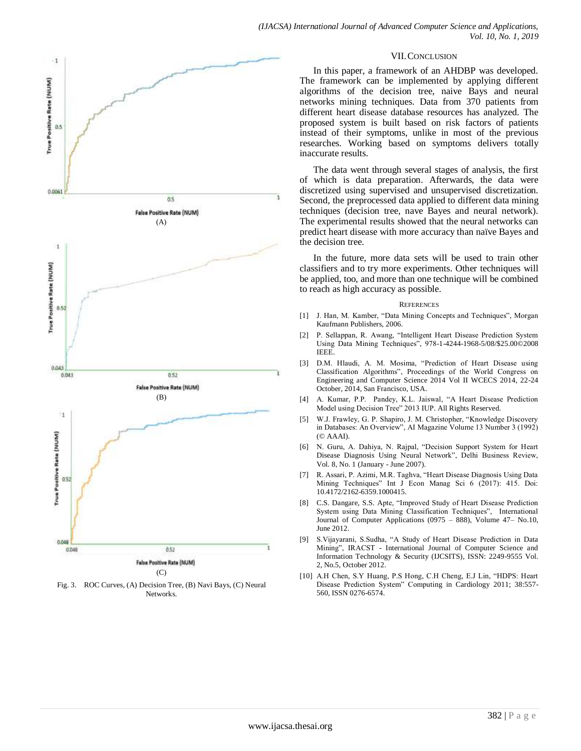

Fig. 3. ROC Curves, (A) Decision Tree, (B) Navi Bays, (C) Neural Networks.

#### VII.CONCLUSION

In this paper, a framework of an AHDBP was developed. The framework can be implemented by applying different algorithms of the decision tree, naive Bays and neural networks mining techniques. Data from 370 patients from different heart disease database resources has analyzed. The proposed system is built based on risk factors of patients instead of their symptoms, unlike in most of the previous researches. Working based on symptoms delivers totally inaccurate results.

The data went through several stages of analysis, the first of which is data preparation. Afterwards, the data were discretized using supervised and unsupervised discretization. Second, the preprocessed data applied to different data mining techniques (decision tree, nave Bayes and neural network). The experimental results showed that the neural networks can predict heart disease with more accuracy than naïve Bayes and the decision tree.

In the future, more data sets will be used to train other classifiers and to try more experiments. Other techniques will be applied, too, and more than one technique will be combined to reach as high accuracy as possible.

#### **REFERENCES**

- [1] J. Han, M. Kamber, "Data Mining Concepts and Techniques", Morgan Kaufmann Publishers, 2006.
- [2] P. Sellappan, R. Awang, "Intelligent Heart Disease Prediction System Using Data Mining Techniques", 978-1-4244-1968-5/08/\$25.00©2008 IEEE.
- [3] D.M. Hlaudi, A. M. Mosima, "Prediction of Heart Disease using Classification Algorithms", Proceedings of the World Congress on Engineering and Computer Science 2014 Vol II WCECS 2014, 22-24 October, 2014, San Francisco, USA.
- [4] A. Kumar, P.P. Pandey, K.L. Jaiswal, "A Heart Disease Prediction Model using Decision Tree" 2013 IUP. All Rights Reserved.
- [5] W.J. Frawley, G. P. Shapiro, J. M. Christopher, "Knowledge Discovery in Databases: An Overview", AI Magazine Volume 13 Number 3 (1992) (© AAAI).
- [6] N. Guru, A. Dahiya, N. Rajpal, "Decision Support System for Heart Disease Diagnosis Using Neural Network", Delhi Business Review, Vol. 8, No. 1 (January - June 2007).
- [7] R. Assari, P. Azimi, M.R. Taghva, "Heart Disease Diagnosis Using Data Mining Techniques" Int J Econ Manag Sci 6 (2017): 415. Doi: 10.4172/2162-6359.1000415.
- [8] C.S. Dangare, S.S. Apte, "Improved Study of Heart Disease Prediction System using Data Mining Classification Techniques", International Journal of Computer Applications (0975 – 888), Volume 47– No.10, June 2012.
- [9] S Vijayarani, S Sudha, "A Study of Heart Disease Prediction in Data Mining", IRACST - International Journal of Computer Science and Information Technology & Security (IJCSITS), ISSN: 2249-9555 Vol. 2, No.5, October 2012.
- [10] A.H Chen, S.Y Huang, P.S Hong, C.H Cheng, E.J Lin, "HDPS: Heart Disease Prediction System" Computing in Cardiology 2011; 38:557- 560, ISSN 0276-6574.